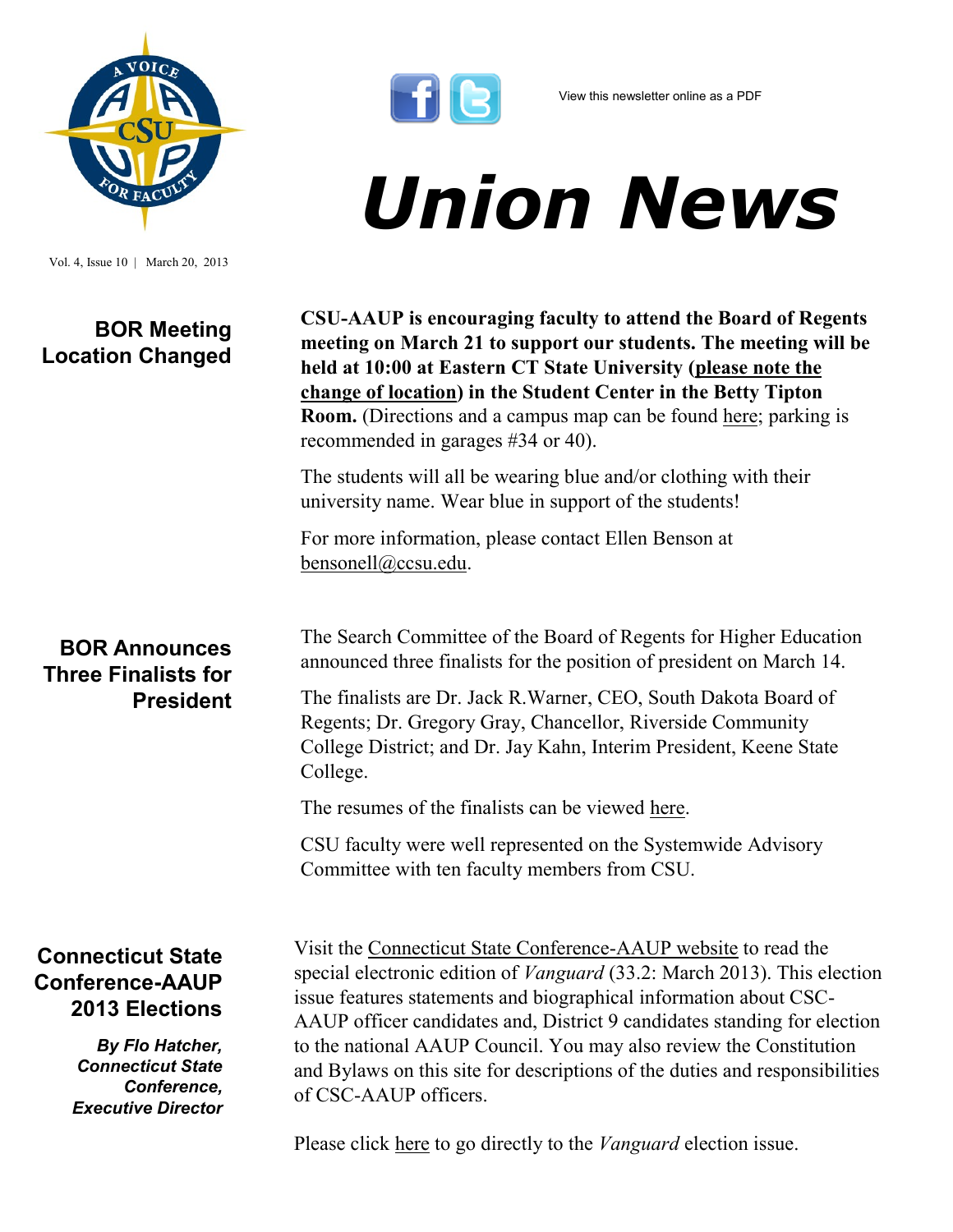

Vol. 4, Issue 10 | March 20, 2013

## **BOR Meeting Location Changed**



# *Union News*

**CSU-AAUP is encouraging faculty to attend the Board of Regents meeting on March 21 to support our students. The meeting will be held at 10:00 at Eastern CT State University (please note the change of location) in the Student Center in the Betty Tipton Room.** (Directions and a campus map can be found [here;](http://www.easternct.edu/ecsu/map/) parking is recommended in garages #34 or 40).

The students will all be wearing blue and/or clothing with their university name. Wear blue in support of the students!

For more information, please contact Ellen Benson at [bensonell@ccsu.edu.](mailto:bensonell@ccsu.edu?subject=BOR%20March%2021)

The Search Committee of the Board of Regents for Higher Education announced three finalists for the position of president on March 14.

The finalists are Dr. Jack R.Warner, CEO, South Dakota Board of Regents; Dr. Gregory Gray, Chancellor, Riverside Community College District; and Dr. Jay Kahn, Interim President, Keene State College.

The resumes of the finalists can be viewed [here.](http://www.ct.edu/regents/president-search#finalists)

CSU faculty were well represented on the Systemwide Advisory Committee with ten faculty members from CSU.

#### **Connecticut State Conference-AAUP 2013 Elections**

*By Flo Hatcher, Connecticut State Conference, Executive Director* 

Visit the [Connecticut State Conference-AAUP website](http://csc.csuaaup.org/) to read the special electronic edition of *Vanguard* (33.2: March 2013). This election issue features statements and biographical information about CSC-AAUP officer candidates and, District 9 candidates standing for election to the national AAUP Council. You may also review the Constitution and Bylaws on this site for descriptions of the duties and responsibilities of CSC-AAUP officers.

Please click [here](http://csc.csuaaup.org/files/2011/11/eVangelection2013.pdf) to go directly to the *Vanguard* election issue.

### **BOR Announces Three Finalists for President**